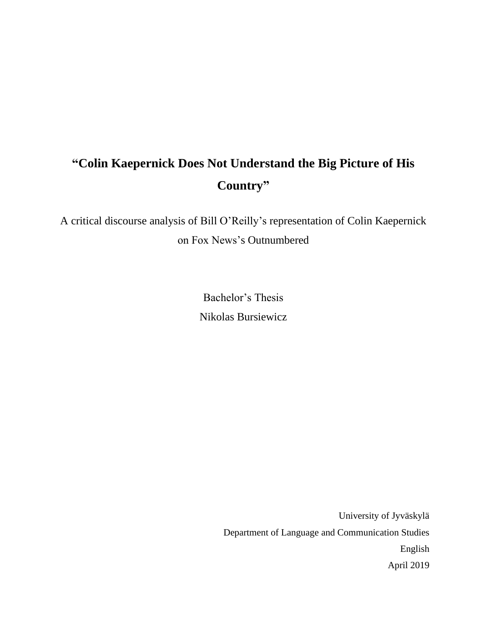# **"Colin Kaepernick Does Not Understand the Big Picture of His Country"**

A critical discourse analysis of Bill O'Reilly's representation of Colin Kaepernick on Fox News's Outnumbered

> Bachelor's Thesis Nikolas Bursiewicz

> > University of Jyväskylä Department of Language and Communication Studies English April 2019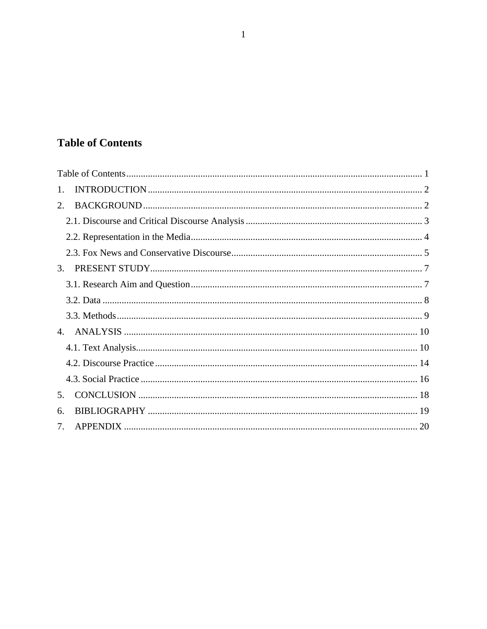## <span id="page-1-0"></span>**Table of Contents**

| 1. |  |
|----|--|
| 2. |  |
|    |  |
|    |  |
|    |  |
| 3. |  |
|    |  |
|    |  |
|    |  |
|    |  |
|    |  |
|    |  |
|    |  |
| 5. |  |
| 6. |  |
| 7. |  |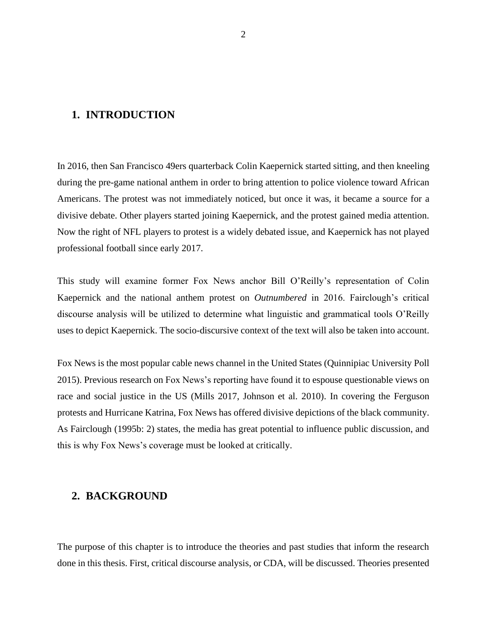## <span id="page-2-0"></span>**1. INTRODUCTION**

In 2016, then San Francisco 49ers quarterback Colin Kaepernick started sitting, and then kneeling during the pre-game national anthem in order to bring attention to police violence toward African Americans. The protest was not immediately noticed, but once it was, it became a source for a divisive debate. Other players started joining Kaepernick, and the protest gained media attention. Now the right of NFL players to protest is a widely debated issue, and Kaepernick has not played professional football since early 2017.

This study will examine former Fox News anchor Bill O'Reilly's representation of Colin Kaepernick and the national anthem protest on *Outnumbered* in 2016. Fairclough's critical discourse analysis will be utilized to determine what linguistic and grammatical tools O'Reilly uses to depict Kaepernick. The socio-discursive context of the text will also be taken into account.

Fox News is the most popular cable news channel in the United States (Quinnipiac University Poll 2015). Previous research on Fox News's reporting have found it to espouse questionable views on race and social justice in the US (Mills 2017, Johnson et al. 2010). In covering the Ferguson protests and Hurricane Katrina, Fox News has offered divisive depictions of the black community. As Fairclough (1995b: 2) states, the media has great potential to influence public discussion, and this is why Fox News's coverage must be looked at critically.

## <span id="page-2-1"></span>**2. BACKGROUND**

The purpose of this chapter is to introduce the theories and past studies that inform the research done in this thesis. First, critical discourse analysis, or CDA, will be discussed. Theories presented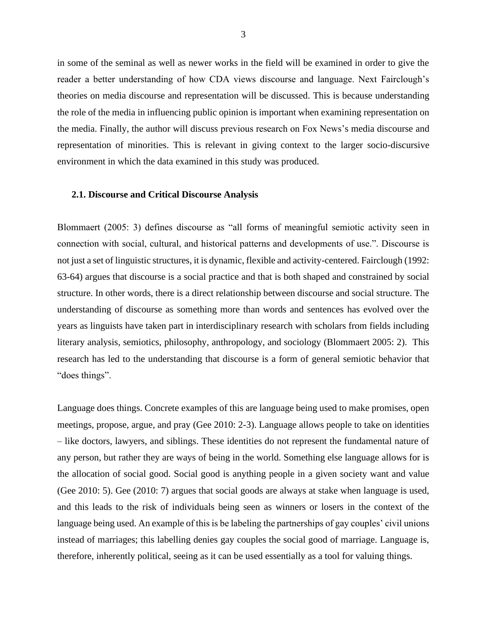in some of the seminal as well as newer works in the field will be examined in order to give the reader a better understanding of how CDA views discourse and language. Next Fairclough's theories on media discourse and representation will be discussed. This is because understanding the role of the media in influencing public opinion is important when examining representation on the media. Finally, the author will discuss previous research on Fox News's media discourse and representation of minorities. This is relevant in giving context to the larger socio-discursive environment in which the data examined in this study was produced.

#### <span id="page-3-0"></span>**2.1. Discourse and Critical Discourse Analysis**

Blommaert (2005: 3) defines discourse as "all forms of meaningful semiotic activity seen in connection with social, cultural, and historical patterns and developments of use.". Discourse is not just a set of linguistic structures, it is dynamic, flexible and activity-centered. Fairclough (1992: 63-64) argues that discourse is a social practice and that is both shaped and constrained by social structure. In other words, there is a direct relationship between discourse and social structure. The understanding of discourse as something more than words and sentences has evolved over the years as linguists have taken part in interdisciplinary research with scholars from fields including literary analysis, semiotics, philosophy, anthropology, and sociology (Blommaert 2005: 2). This research has led to the understanding that discourse is a form of general semiotic behavior that "does things".

Language does things. Concrete examples of this are language being used to make promises, open meetings, propose, argue, and pray (Gee 2010: 2-3). Language allows people to take on identities – like doctors, lawyers, and siblings. These identities do not represent the fundamental nature of any person, but rather they are ways of being in the world. Something else language allows for is the allocation of social good. Social good is anything people in a given society want and value (Gee 2010: 5). Gee (2010: 7) argues that social goods are always at stake when language is used, and this leads to the risk of individuals being seen as winners or losers in the context of the language being used. An example of this is be labeling the partnerships of gay couples' civil unions instead of marriages; this labelling denies gay couples the social good of marriage. Language is, therefore, inherently political, seeing as it can be used essentially as a tool for valuing things.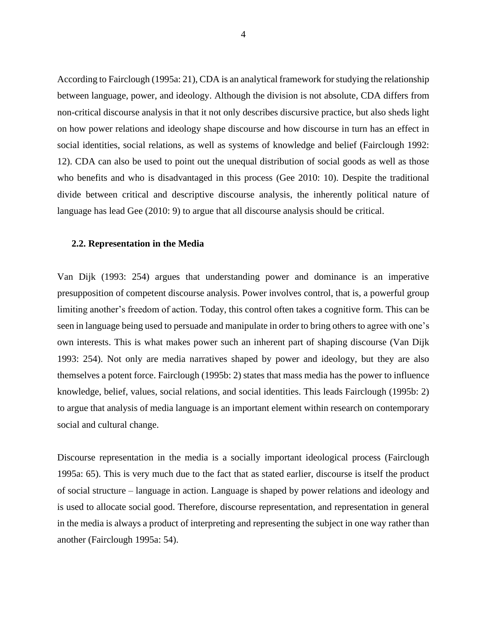According to Fairclough (1995a: 21), CDA is an analytical framework for studying the relationship between language, power, and ideology. Although the division is not absolute, CDA differs from non-critical discourse analysis in that it not only describes discursive practice, but also sheds light on how power relations and ideology shape discourse and how discourse in turn has an effect in social identities, social relations, as well as systems of knowledge and belief (Fairclough 1992: 12). CDA can also be used to point out the unequal distribution of social goods as well as those who benefits and who is disadvantaged in this process (Gee 2010: 10). Despite the traditional divide between critical and descriptive discourse analysis, the inherently political nature of language has lead Gee (2010: 9) to argue that all discourse analysis should be critical.

#### <span id="page-4-0"></span>**2.2. Representation in the Media**

Van Dijk (1993: 254) argues that understanding power and dominance is an imperative presupposition of competent discourse analysis. Power involves control, that is, a powerful group limiting another's freedom of action. Today, this control often takes a cognitive form. This can be seen in language being used to persuade and manipulate in order to bring others to agree with one's own interests. This is what makes power such an inherent part of shaping discourse (Van Dijk 1993: 254). Not only are media narratives shaped by power and ideology, but they are also themselves a potent force. Fairclough (1995b: 2) states that mass media has the power to influence knowledge, belief, values, social relations, and social identities. This leads Fairclough (1995b: 2) to argue that analysis of media language is an important element within research on contemporary social and cultural change.

Discourse representation in the media is a socially important ideological process (Fairclough 1995a: 65). This is very much due to the fact that as stated earlier, discourse is itself the product of social structure – language in action. Language is shaped by power relations and ideology and is used to allocate social good. Therefore, discourse representation, and representation in general in the media is always a product of interpreting and representing the subject in one way rather than another (Fairclough 1995a: 54).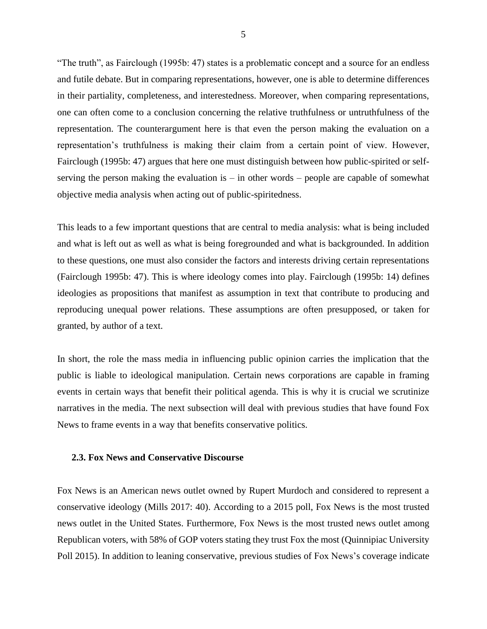"The truth", as Fairclough (1995b: 47) states is a problematic concept and a source for an endless and futile debate. But in comparing representations, however, one is able to determine differences in their partiality, completeness, and interestedness. Moreover, when comparing representations, one can often come to a conclusion concerning the relative truthfulness or untruthfulness of the representation. The counterargument here is that even the person making the evaluation on a representation's truthfulness is making their claim from a certain point of view. However, Fairclough (1995b: 47) argues that here one must distinguish between how public-spirited or selfserving the person making the evaluation is  $-$  in other words  $-$  people are capable of somewhat objective media analysis when acting out of public-spiritedness.

This leads to a few important questions that are central to media analysis: what is being included and what is left out as well as what is being foregrounded and what is backgrounded. In addition to these questions, one must also consider the factors and interests driving certain representations (Fairclough 1995b: 47). This is where ideology comes into play. Fairclough (1995b: 14) defines ideologies as propositions that manifest as assumption in text that contribute to producing and reproducing unequal power relations. These assumptions are often presupposed, or taken for granted, by author of a text.

In short, the role the mass media in influencing public opinion carries the implication that the public is liable to ideological manipulation. Certain news corporations are capable in framing events in certain ways that benefit their political agenda. This is why it is crucial we scrutinize narratives in the media. The next subsection will deal with previous studies that have found Fox News to frame events in a way that benefits conservative politics.

#### <span id="page-5-0"></span>**2.3. Fox News and Conservative Discourse**

Fox News is an American news outlet owned by Rupert Murdoch and considered to represent a conservative ideology (Mills 2017: 40). According to a 2015 poll, Fox News is the most trusted news outlet in the United States. Furthermore, Fox News is the most trusted news outlet among Republican voters, with 58% of GOP voters stating they trust Fox the most (Quinnipiac University Poll 2015). In addition to leaning conservative, previous studies of Fox News's coverage indicate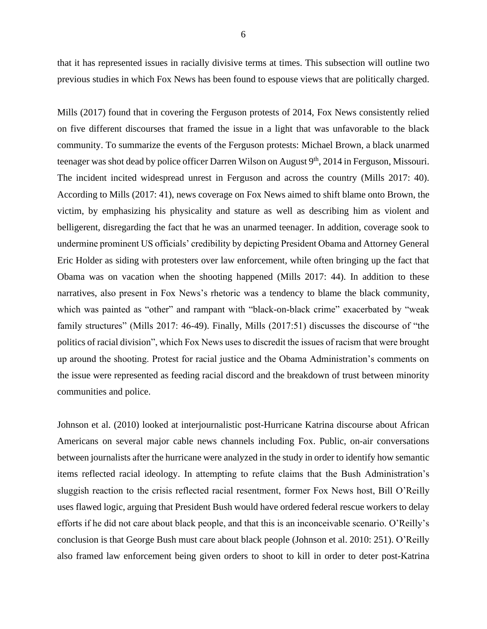that it has represented issues in racially divisive terms at times. This subsection will outline two previous studies in which Fox News has been found to espouse views that are politically charged.

Mills (2017) found that in covering the Ferguson protests of 2014, Fox News consistently relied on five different discourses that framed the issue in a light that was unfavorable to the black community. To summarize the events of the Ferguson protests: Michael Brown, a black unarmed teenager was shot dead by police officer Darren Wilson on August 9<sup>th</sup>, 2014 in Ferguson, Missouri. The incident incited widespread unrest in Ferguson and across the country (Mills 2017: 40). According to Mills (2017: 41), news coverage on Fox News aimed to shift blame onto Brown, the victim, by emphasizing his physicality and stature as well as describing him as violent and belligerent, disregarding the fact that he was an unarmed teenager. In addition, coverage sook to undermine prominent US officials' credibility by depicting President Obama and Attorney General Eric Holder as siding with protesters over law enforcement, while often bringing up the fact that Obama was on vacation when the shooting happened (Mills 2017: 44). In addition to these narratives, also present in Fox News's rhetoric was a tendency to blame the black community, which was painted as "other" and rampant with "black-on-black crime" exacerbated by "weak family structures" (Mills 2017: 46-49). Finally, Mills (2017:51) discusses the discourse of "the politics of racial division", which Fox News uses to discredit the issues of racism that were brought up around the shooting. Protest for racial justice and the Obama Administration's comments on the issue were represented as feeding racial discord and the breakdown of trust between minority communities and police.

Johnson et al. (2010) looked at interjournalistic post-Hurricane Katrina discourse about African Americans on several major cable news channels including Fox. Public, on-air conversations between journalists after the hurricane were analyzed in the study in order to identify how semantic items reflected racial ideology. In attempting to refute claims that the Bush Administration's sluggish reaction to the crisis reflected racial resentment, former Fox News host, Bill O'Reilly uses flawed logic, arguing that President Bush would have ordered federal rescue workers to delay efforts if he did not care about black people, and that this is an inconceivable scenario. O'Reilly's conclusion is that George Bush must care about black people (Johnson et al. 2010: 251). O'Reilly also framed law enforcement being given orders to shoot to kill in order to deter post-Katrina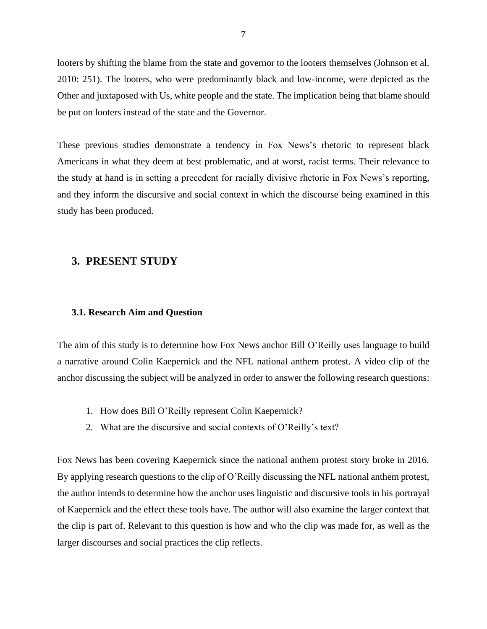looters by shifting the blame from the state and governor to the looters themselves (Johnson et al. 2010: 251). The looters, who were predominantly black and low-income, were depicted as the Other and juxtaposed with Us, white people and the state. The implication being that blame should be put on looters instead of the state and the Governor.

These previous studies demonstrate a tendency in Fox News's rhetoric to represent black Americans in what they deem at best problematic, and at worst, racist terms. Their relevance to the study at hand is in setting a precedent for racially divisive rhetoric in Fox News's reporting, and they inform the discursive and social context in which the discourse being examined in this study has been produced.

## <span id="page-7-0"></span>**3. PRESENT STUDY**

#### <span id="page-7-1"></span>**3.1. Research Aim and Question**

The aim of this study is to determine how Fox News anchor Bill O'Reilly uses language to build a narrative around Colin Kaepernick and the NFL national anthem protest. A video clip of the anchor discussing the subject will be analyzed in order to answer the following research questions:

- 1. How does Bill O'Reilly represent Colin Kaepernick?
- 2. What are the discursive and social contexts of O'Reilly's text?

Fox News has been covering Kaepernick since the national anthem protest story broke in 2016. By applying research questions to the clip of O'Reilly discussing the NFL national anthem protest, the author intends to determine how the anchor uses linguistic and discursive tools in his portrayal of Kaepernick and the effect these tools have. The author will also examine the larger context that the clip is part of. Relevant to this question is how and who the clip was made for, as well as the larger discourses and social practices the clip reflects.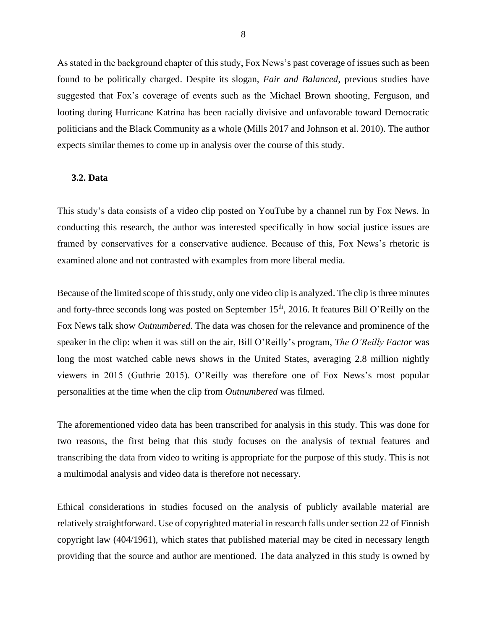As stated in the background chapter of this study, Fox News's past coverage of issues such as been found to be politically charged. Despite its slogan, *Fair and Balanced*, previous studies have suggested that Fox's coverage of events such as the Michael Brown shooting, Ferguson, and looting during Hurricane Katrina has been racially divisive and unfavorable toward Democratic politicians and the Black Community as a whole (Mills 2017 and Johnson et al. 2010). The author expects similar themes to come up in analysis over the course of this study.

#### <span id="page-8-0"></span>**3.2. Data**

This study's data consists of a video clip posted on YouTube by a channel run by Fox News. In conducting this research, the author was interested specifically in how social justice issues are framed by conservatives for a conservative audience. Because of this, Fox News's rhetoric is examined alone and not contrasted with examples from more liberal media.

Because of the limited scope of this study, only one video clip is analyzed. The clip is three minutes and forty-three seconds long was posted on September 15<sup>th</sup>, 2016. It features Bill O'Reilly on the Fox News talk show *Outnumbered*. The data was chosen for the relevance and prominence of the speaker in the clip: when it was still on the air, Bill O'Reilly's program, *The O'Reilly Factor* was long the most watched cable news shows in the United States, averaging 2.8 million nightly viewers in 2015 (Guthrie 2015). O'Reilly was therefore one of Fox News's most popular personalities at the time when the clip from *Outnumbered* was filmed.

The aforementioned video data has been transcribed for analysis in this study. This was done for two reasons, the first being that this study focuses on the analysis of textual features and transcribing the data from video to writing is appropriate for the purpose of this study. This is not a multimodal analysis and video data is therefore not necessary.

Ethical considerations in studies focused on the analysis of publicly available material are relatively straightforward. Use of copyrighted material in research falls under section 22 of Finnish copyright law (404/1961), which states that published material may be cited in necessary length providing that the source and author are mentioned. The data analyzed in this study is owned by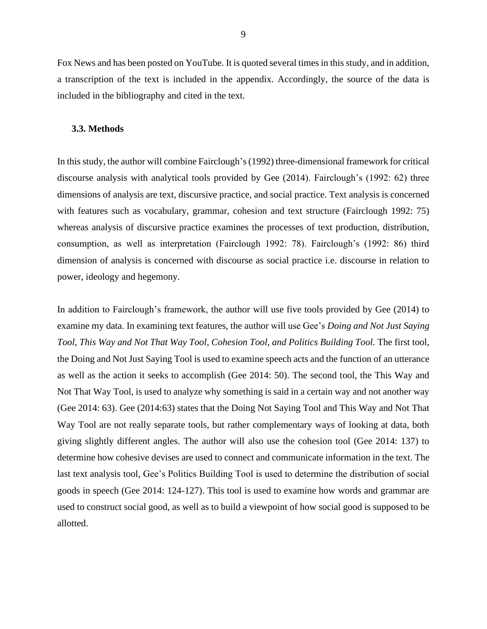Fox News and has been posted on YouTube. It is quoted several times in this study, and in addition, a transcription of the text is included in the appendix. Accordingly, the source of the data is included in the bibliography and cited in the text.

#### <span id="page-9-0"></span>**3.3. Methods**

In this study, the author will combine Fairclough's (1992) three-dimensional framework for critical discourse analysis with analytical tools provided by Gee (2014). Fairclough's (1992: 62) three dimensions of analysis are text, discursive practice, and social practice. Text analysis is concerned with features such as vocabulary, grammar, cohesion and text structure (Fairclough 1992: 75) whereas analysis of discursive practice examines the processes of text production, distribution, consumption, as well as interpretation (Fairclough 1992: 78). Fairclough's (1992: 86) third dimension of analysis is concerned with discourse as social practice i.e. discourse in relation to power, ideology and hegemony.

In addition to Fairclough's framework, the author will use five tools provided by Gee (2014) to examine my data. In examining text features, the author will use Gee's *Doing and Not Just Saying Tool, This Way and Not That Way Tool, Cohesion Tool, and Politics Building Tool.* The first tool, the Doing and Not Just Saying Tool is used to examine speech acts and the function of an utterance as well as the action it seeks to accomplish (Gee 2014: 50). The second tool, the This Way and Not That Way Tool, is used to analyze why something is said in a certain way and not another way (Gee 2014: 63). Gee (2014:63) states that the Doing Not Saying Tool and This Way and Not That Way Tool are not really separate tools, but rather complementary ways of looking at data, both giving slightly different angles. The author will also use the cohesion tool (Gee 2014: 137) to determine how cohesive devises are used to connect and communicate information in the text. The last text analysis tool, Gee's Politics Building Tool is used to determine the distribution of social goods in speech (Gee 2014: 124-127). This tool is used to examine how words and grammar are used to construct social good, as well as to build a viewpoint of how social good is supposed to be allotted.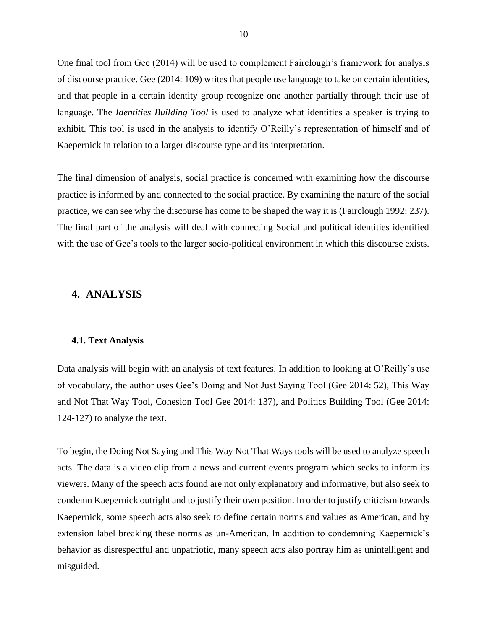One final tool from Gee (2014) will be used to complement Fairclough's framework for analysis of discourse practice. Gee (2014: 109) writes that people use language to take on certain identities, and that people in a certain identity group recognize one another partially through their use of language. The *Identities Building Tool* is used to analyze what identities a speaker is trying to exhibit. This tool is used in the analysis to identify O'Reilly's representation of himself and of Kaepernick in relation to a larger discourse type and its interpretation.

The final dimension of analysis, social practice is concerned with examining how the discourse practice is informed by and connected to the social practice. By examining the nature of the social practice, we can see why the discourse has come to be shaped the way it is (Fairclough 1992: 237). The final part of the analysis will deal with connecting Social and political identities identified with the use of Gee's tools to the larger socio-political environment in which this discourse exists.

## <span id="page-10-0"></span>**4. ANALYSIS**

#### <span id="page-10-1"></span>**4.1. Text Analysis**

Data analysis will begin with an analysis of text features. In addition to looking at O'Reilly's use of vocabulary, the author uses Gee's Doing and Not Just Saying Tool (Gee 2014: 52), This Way and Not That Way Tool, Cohesion Tool Gee 2014: 137), and Politics Building Tool (Gee 2014: 124-127) to analyze the text.

To begin, the Doing Not Saying and This Way Not That Ways tools will be used to analyze speech acts. The data is a video clip from a news and current events program which seeks to inform its viewers. Many of the speech acts found are not only explanatory and informative, but also seek to condemn Kaepernick outright and to justify their own position. In order to justify criticism towards Kaepernick, some speech acts also seek to define certain norms and values as American, and by extension label breaking these norms as un-American. In addition to condemning Kaepernick's behavior as disrespectful and unpatriotic, many speech acts also portray him as unintelligent and misguided.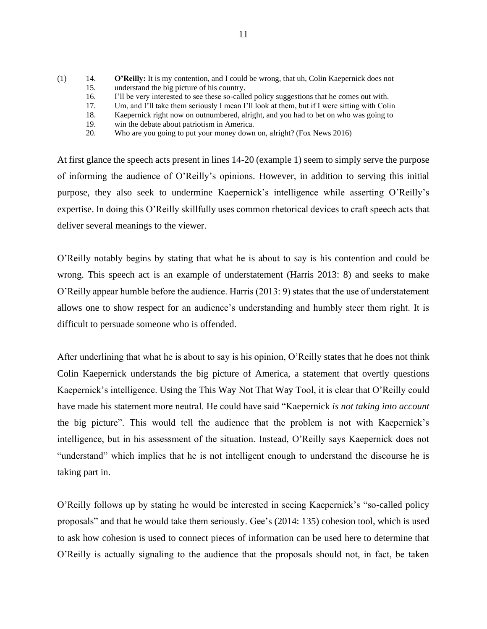- (1) 14. **O'Reilly:** It is my contention, and I could be wrong, that uh, Colin Kaepernick does not 15. understand the big picture of his country. 16. I'll be very interested to see these so-called policy suggestions that he comes out with. 17. Um, and I'll take them seriously I mean I'll look at them, but if I were sitting with Colin
	- 18. Kaepernick right now on outnumbered, alright, and you had to bet on who was going to
	- 19. win the debate about patriotism in America.
	- 20. Who are you going to put your money down on, alright? (Fox News 2016)

At first glance the speech acts present in lines 14-20 (example 1) seem to simply serve the purpose of informing the audience of O'Reilly's opinions. However, in addition to serving this initial purpose, they also seek to undermine Kaepernick's intelligence while asserting O'Reilly's expertise. In doing this O'Reilly skillfully uses common rhetorical devices to craft speech acts that deliver several meanings to the viewer.

O'Reilly notably begins by stating that what he is about to say is his contention and could be wrong. This speech act is an example of understatement (Harris 2013: 8) and seeks to make O'Reilly appear humble before the audience. Harris (2013: 9) states that the use of understatement allows one to show respect for an audience's understanding and humbly steer them right. It is difficult to persuade someone who is offended.

After underlining that what he is about to say is his opinion, O'Reilly states that he does not think Colin Kaepernick understands the big picture of America, a statement that overtly questions Kaepernick's intelligence. Using the This Way Not That Way Tool, it is clear that O'Reilly could have made his statement more neutral. He could have said "Kaepernick *is not taking into account* the big picture". This would tell the audience that the problem is not with Kaepernick's intelligence, but in his assessment of the situation. Instead, O'Reilly says Kaepernick does not "understand" which implies that he is not intelligent enough to understand the discourse he is taking part in.

O'Reilly follows up by stating he would be interested in seeing Kaepernick's "so-called policy proposals" and that he would take them seriously. Gee's (2014: 135) cohesion tool, which is used to ask how cohesion is used to connect pieces of information can be used here to determine that O'Reilly is actually signaling to the audience that the proposals should not, in fact, be taken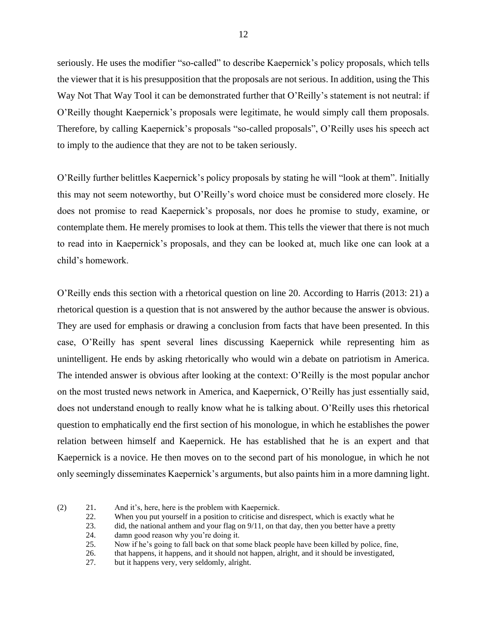seriously. He uses the modifier "so-called" to describe Kaepernick's policy proposals, which tells the viewer that it is his presupposition that the proposals are not serious. In addition, using the This Way Not That Way Tool it can be demonstrated further that O'Reilly's statement is not neutral: if O'Reilly thought Kaepernick's proposals were legitimate, he would simply call them proposals. Therefore, by calling Kaepernick's proposals "so-called proposals", O'Reilly uses his speech act to imply to the audience that they are not to be taken seriously.

O'Reilly further belittles Kaepernick's policy proposals by stating he will "look at them". Initially this may not seem noteworthy, but O'Reilly's word choice must be considered more closely. He does not promise to read Kaepernick's proposals, nor does he promise to study, examine, or contemplate them. He merely promises to look at them. This tells the viewer that there is not much to read into in Kaepernick's proposals, and they can be looked at, much like one can look at a child's homework.

O'Reilly ends this section with a rhetorical question on line 20. According to Harris (2013: 21) a rhetorical question is a question that is not answered by the author because the answer is obvious. They are used for emphasis or drawing a conclusion from facts that have been presented. In this case, O'Reilly has spent several lines discussing Kaepernick while representing him as unintelligent. He ends by asking rhetorically who would win a debate on patriotism in America. The intended answer is obvious after looking at the context: O'Reilly is the most popular anchor on the most trusted news network in America, and Kaepernick, O'Reilly has just essentially said, does not understand enough to really know what he is talking about. O'Reilly uses this rhetorical question to emphatically end the first section of his monologue, in which he establishes the power relation between himself and Kaepernick. He has established that he is an expert and that Kaepernick is a novice. He then moves on to the second part of his monologue, in which he not only seemingly disseminates Kaepernick's arguments, but also paints him in a more damning light.

22. When you put yourself in a position to criticise and disrespect, which is exactly what he

24. damn good reason why you're doing it.

25. Now if he's going to fall back on that some black people have been killed by police, fine,

26. that happens, it happens, and it should not happen, alright, and it should be investigated,

27. but it happens very, very seldomly, alright.

<sup>(2)</sup> 21. And it's, here, here is the problem with Kaepernick.

<sup>23.</sup> did, the national anthem and your flag on 9/11, on that day, then you better have a pretty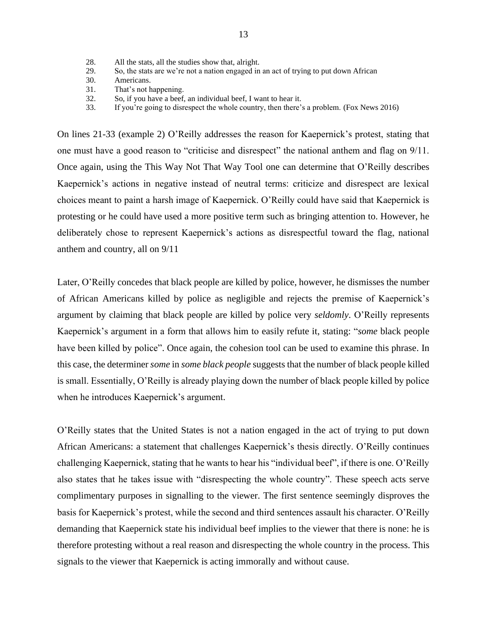- 28. All the stats, all the studies show that, alright.
- 29. So, the stats are we're not a nation engaged in an act of trying to put down African
- 30. Americans.
- 31. That's not happening.
- 32. So, if you have a beef, an individual beef, I want to hear it.
- 33. If you're going to disrespect the whole country, then there's a problem. (Fox News 2016)

On lines 21-33 (example 2) O'Reilly addresses the reason for Kaepernick's protest, stating that one must have a good reason to "criticise and disrespect" the national anthem and flag on 9/11. Once again, using the This Way Not That Way Tool one can determine that O'Reilly describes Kaepernick's actions in negative instead of neutral terms: criticize and disrespect are lexical choices meant to paint a harsh image of Kaepernick. O'Reilly could have said that Kaepernick is protesting or he could have used a more positive term such as bringing attention to. However, he deliberately chose to represent Kaepernick's actions as disrespectful toward the flag, national anthem and country, all on 9/11

Later, O'Reilly concedes that black people are killed by police, however, he dismisses the number of African Americans killed by police as negligible and rejects the premise of Kaepernick's argument by claiming that black people are killed by police very *seldomly*. O'Reilly represents Kaepernick's argument in a form that allows him to easily refute it, stating: "*some* black people have been killed by police". Once again, the cohesion tool can be used to examine this phrase. In this case, the determiner *some* in *some black people* suggests that the number of black people killed is small. Essentially, O'Reilly is already playing down the number of black people killed by police when he introduces Kaepernick's argument.

O'Reilly states that the United States is not a nation engaged in the act of trying to put down African Americans: a statement that challenges Kaepernick's thesis directly. O'Reilly continues challenging Kaepernick, stating that he wants to hear his "individual beef", if there is one. O'Reilly also states that he takes issue with "disrespecting the whole country". These speech acts serve complimentary purposes in signalling to the viewer. The first sentence seemingly disproves the basis for Kaepernick's protest, while the second and third sentences assault his character. O'Reilly demanding that Kaepernick state his individual beef implies to the viewer that there is none: he is therefore protesting without a real reason and disrespecting the whole country in the process. This signals to the viewer that Kaepernick is acting immorally and without cause.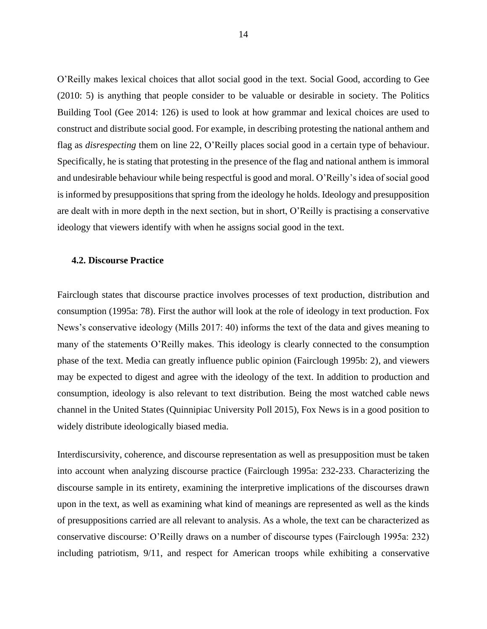O'Reilly makes lexical choices that allot social good in the text. Social Good, according to Gee (2010: 5) is anything that people consider to be valuable or desirable in society. The Politics Building Tool (Gee 2014: 126) is used to look at how grammar and lexical choices are used to construct and distribute social good. For example, in describing protesting the national anthem and flag as *disrespecting* them on line 22, O'Reilly places social good in a certain type of behaviour. Specifically, he is stating that protesting in the presence of the flag and national anthem is immoral and undesirable behaviour while being respectful is good and moral. O'Reilly's idea of social good is informed by presuppositions that spring from the ideology he holds. Ideology and presupposition are dealt with in more depth in the next section, but in short, O'Reilly is practising a conservative ideology that viewers identify with when he assigns social good in the text.

#### <span id="page-14-0"></span>**4.2. Discourse Practice**

Fairclough states that discourse practice involves processes of text production, distribution and consumption (1995a: 78). First the author will look at the role of ideology in text production. Fox News's conservative ideology (Mills 2017: 40) informs the text of the data and gives meaning to many of the statements O'Reilly makes. This ideology is clearly connected to the consumption phase of the text. Media can greatly influence public opinion (Fairclough 1995b: 2), and viewers may be expected to digest and agree with the ideology of the text. In addition to production and consumption, ideology is also relevant to text distribution. Being the most watched cable news channel in the United States (Quinnipiac University Poll 2015), Fox News is in a good position to widely distribute ideologically biased media.

Interdiscursivity, coherence, and discourse representation as well as presupposition must be taken into account when analyzing discourse practice (Fairclough 1995a: 232-233. Characterizing the discourse sample in its entirety, examining the interpretive implications of the discourses drawn upon in the text, as well as examining what kind of meanings are represented as well as the kinds of presuppositions carried are all relevant to analysis. As a whole, the text can be characterized as conservative discourse: O'Reilly draws on a number of discourse types (Fairclough 1995a: 232) including patriotism, 9/11, and respect for American troops while exhibiting a conservative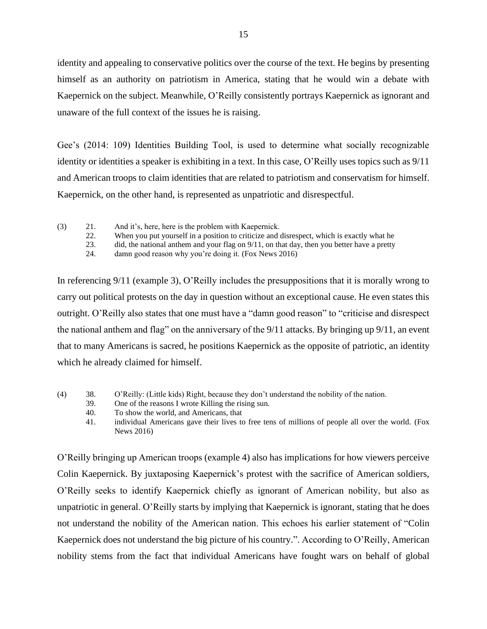identity and appealing to conservative politics over the course of the text. He begins by presenting himself as an authority on patriotism in America, stating that he would win a debate with Kaepernick on the subject. Meanwhile, O'Reilly consistently portrays Kaepernick as ignorant and unaware of the full context of the issues he is raising.

Gee's (2014: 109) Identities Building Tool, is used to determine what socially recognizable identity or identities a speaker is exhibiting in a text. In this case, O'Reilly uses topics such as 9/11 and American troops to claim identities that are related to patriotism and conservatism for himself. Kaepernick, on the other hand, is represented as unpatriotic and disrespectful.

- (3) 21. And it's, here, here is the problem with Kaepernick.
	- 22. When you put yourself in a position to criticize and disrespect, which is exactly what he
	- 23. did, the national anthem and your flag on 9/11, on that day, then you better have a pretty
	- 24. damn good reason why you're doing it. (Fox News 2016)

In referencing 9/11 (example 3), O'Reilly includes the presuppositions that it is morally wrong to carry out political protests on the day in question without an exceptional cause. He even states this outright. O'Reilly also states that one must have a "damn good reason" to "criticise and disrespect the national anthem and flag" on the anniversary of the 9/11 attacks. By bringing up 9/11, an event that to many Americans is sacred, he positions Kaepernick as the opposite of patriotic, an identity which he already claimed for himself.

- (4) 38. O'Reilly: (Little kids) Right, because they don't understand the nobility of the nation.
	- 39. One of the reasons I wrote Killing the rising sun.
	- 40. To show the world, and Americans, that
	- 41. individual Americans gave their lives to free tens of millions of people all over the world. (Fox News 2016)

O'Reilly bringing up American troops (example 4) also has implications for how viewers perceive Colin Kaepernick. By juxtaposing Kaepernick's protest with the sacrifice of American soldiers, O'Reilly seeks to identify Kaepernick chiefly as ignorant of American nobility, but also as unpatriotic in general. O'Reilly starts by implying that Kaepernick is ignorant, stating that he does not understand the nobility of the American nation. This echoes his earlier statement of "Colin Kaepernick does not understand the big picture of his country.". According to O'Reilly, American nobility stems from the fact that individual Americans have fought wars on behalf of global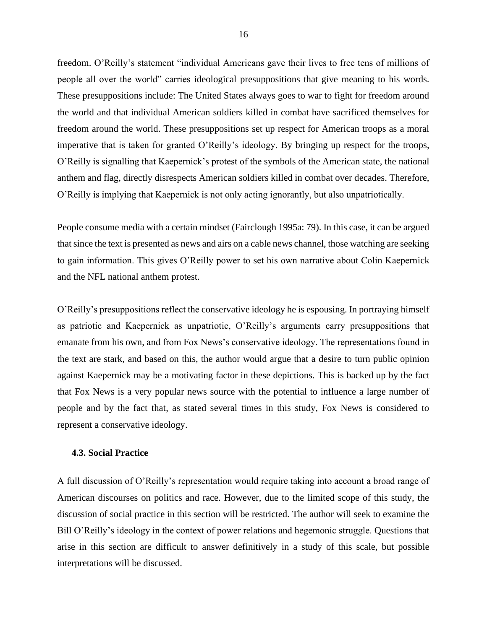freedom. O'Reilly's statement "individual Americans gave their lives to free tens of millions of people all over the world" carries ideological presuppositions that give meaning to his words. These presuppositions include: The United States always goes to war to fight for freedom around the world and that individual American soldiers killed in combat have sacrificed themselves for freedom around the world. These presuppositions set up respect for American troops as a moral imperative that is taken for granted O'Reilly's ideology. By bringing up respect for the troops, O'Reilly is signalling that Kaepernick's protest of the symbols of the American state, the national anthem and flag, directly disrespects American soldiers killed in combat over decades. Therefore, O'Reilly is implying that Kaepernick is not only acting ignorantly, but also unpatriotically.

People consume media with a certain mindset (Fairclough 1995a: 79). In this case, it can be argued that since the text is presented as news and airs on a cable news channel, those watching are seeking to gain information. This gives O'Reilly power to set his own narrative about Colin Kaepernick and the NFL national anthem protest.

O'Reilly's presuppositions reflect the conservative ideology he is espousing. In portraying himself as patriotic and Kaepernick as unpatriotic, O'Reilly's arguments carry presuppositions that emanate from his own, and from Fox News's conservative ideology. The representations found in the text are stark, and based on this, the author would argue that a desire to turn public opinion against Kaepernick may be a motivating factor in these depictions. This is backed up by the fact that Fox News is a very popular news source with the potential to influence a large number of people and by the fact that, as stated several times in this study, Fox News is considered to represent a conservative ideology.

## <span id="page-16-0"></span>**4.3. Social Practice**

A full discussion of O'Reilly's representation would require taking into account a broad range of American discourses on politics and race. However, due to the limited scope of this study, the discussion of social practice in this section will be restricted. The author will seek to examine the Bill O'Reilly's ideology in the context of power relations and hegemonic struggle. Questions that arise in this section are difficult to answer definitively in a study of this scale, but possible interpretations will be discussed.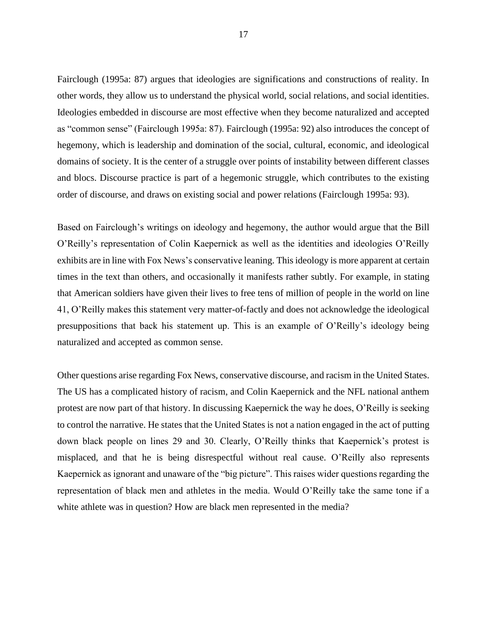Fairclough (1995a: 87) argues that ideologies are significations and constructions of reality. In other words, they allow us to understand the physical world, social relations, and social identities. Ideologies embedded in discourse are most effective when they become naturalized and accepted as "common sense" (Fairclough 1995a: 87). Fairclough (1995a: 92) also introduces the concept of hegemony, which is leadership and domination of the social, cultural, economic, and ideological domains of society. It is the center of a struggle over points of instability between different classes and blocs. Discourse practice is part of a hegemonic struggle, which contributes to the existing order of discourse, and draws on existing social and power relations (Fairclough 1995a: 93).

Based on Fairclough's writings on ideology and hegemony, the author would argue that the Bill O'Reilly's representation of Colin Kaepernick as well as the identities and ideologies O'Reilly exhibits are in line with Fox News's conservative leaning. This ideology is more apparent at certain times in the text than others, and occasionally it manifests rather subtly. For example, in stating that American soldiers have given their lives to free tens of million of people in the world on line 41, O'Reilly makes this statement very matter-of-factly and does not acknowledge the ideological presuppositions that back his statement up. This is an example of O'Reilly's ideology being naturalized and accepted as common sense.

Other questions arise regarding Fox News, conservative discourse, and racism in the United States. The US has a complicated history of racism, and Colin Kaepernick and the NFL national anthem protest are now part of that history. In discussing Kaepernick the way he does, O'Reilly is seeking to control the narrative. He states that the United States is not a nation engaged in the act of putting down black people on lines 29 and 30. Clearly, O'Reilly thinks that Kaepernick's protest is misplaced, and that he is being disrespectful without real cause. O'Reilly also represents Kaepernick as ignorant and unaware of the "big picture". This raises wider questions regarding the representation of black men and athletes in the media. Would O'Reilly take the same tone if a white athlete was in question? How are black men represented in the media?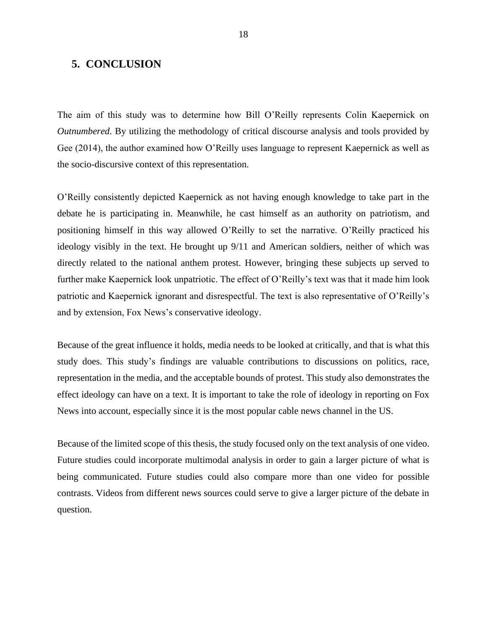## <span id="page-18-0"></span>**5. CONCLUSION**

The aim of this study was to determine how Bill O'Reilly represents Colin Kaepernick on *Outnumbered*. By utilizing the methodology of critical discourse analysis and tools provided by Gee (2014), the author examined how O'Reilly uses language to represent Kaepernick as well as the socio-discursive context of this representation.

O'Reilly consistently depicted Kaepernick as not having enough knowledge to take part in the debate he is participating in. Meanwhile, he cast himself as an authority on patriotism, and positioning himself in this way allowed O'Reilly to set the narrative. O'Reilly practiced his ideology visibly in the text. He brought up 9/11 and American soldiers, neither of which was directly related to the national anthem protest. However, bringing these subjects up served to further make Kaepernick look unpatriotic. The effect of O'Reilly's text was that it made him look patriotic and Kaepernick ignorant and disrespectful. The text is also representative of O'Reilly's and by extension, Fox News's conservative ideology.

Because of the great influence it holds, media needs to be looked at critically, and that is what this study does. This study's findings are valuable contributions to discussions on politics, race, representation in the media, and the acceptable bounds of protest. This study also demonstrates the effect ideology can have on a text. It is important to take the role of ideology in reporting on Fox News into account, especially since it is the most popular cable news channel in the US.

Because of the limited scope of this thesis, the study focused only on the text analysis of one video. Future studies could incorporate multimodal analysis in order to gain a larger picture of what is being communicated. Future studies could also compare more than one video for possible contrasts. Videos from different news sources could serve to give a larger picture of the debate in question.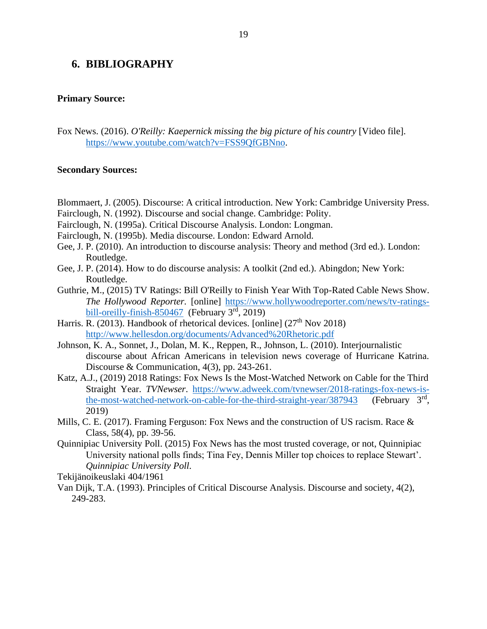## <span id="page-19-0"></span>**6. BIBLIOGRAPHY**

#### **Primary Source:**

Fox News. (2016). *O'Reilly: Kaepernick missing the big picture of his country* [Video file]. [https://www.youtube.com/watch?v=FSS9QfGBNno.](https://www.youtube.com/watch?v=FSS9QfGBNno)

#### **Secondary Sources:**

- Blommaert, J. (2005). Discourse: A critical introduction. New York: Cambridge University Press.
- Fairclough, N. (1992). Discourse and social change. Cambridge: Polity.
- Fairclough, N. (1995a). Critical Discourse Analysis. London: Longman.
- Fairclough, N. (1995b). Media discourse. London: Edward Arnold.
- Gee, J. P. (2010). An introduction to discourse analysis: Theory and method (3rd ed.). London: Routledge.
- Gee, J. P. (2014). How to do discourse analysis: A toolkit (2nd ed.). Abingdon; New York: Routledge.
- Guthrie, M., (2015) TV Ratings: Bill O'Reilly to Finish Year With Top-Rated Cable News Show. *The Hollywood Reporter.* [online] [https://www.hollywoodreporter.com/news/tv-ratings](https://www.hollywoodreporter.com/news/tv-ratings-bill-oreilly-finish-850467)[bill-oreilly-finish-850467](https://www.hollywoodreporter.com/news/tv-ratings-bill-oreilly-finish-850467) (February  $3<sup>rd</sup>$ , 2019)
- Harris. R. (2013). Handbook of rhetorical devices. [online]  $(27<sup>th</sup> Nov 2018)$ <http://www.hellesdon.org/documents/Advanced%20Rhetoric.pdf>
- Johnson, K. A., Sonnet, J., Dolan, M. K., Reppen, R., Johnson, L. (2010). Interjournalistic discourse about African Americans in television news coverage of Hurricane Katrina. Discourse & Communication, 4(3), pp. 243-261.
- Katz, A.J., (2019) 2018 Ratings: Fox News Is the Most-Watched Network on Cable for the Third Straight Year. *TVNewser*. [https://www.adweek.com/tvnewser/2018-ratings-fox-news-is](https://www.adweek.com/tvnewser/2018-ratings-fox-news-is-the-most-watched-network-on-cable-for-the-third-straight-year/387943)the-most-watched-network-on-cable-for-the-third-straight-year/387943 (February  $3<sup>rd</sup>$ . 2019)
- Mills, C. E. (2017). Framing Ferguson: Fox News and the construction of US racism. Race & Class, 58(4), pp. 39-56.
- Quinnipiac University Poll. (2015) Fox News has the most trusted coverage, or not, Quinnipiac University national polls finds; Tina Fey, Dennis Miller top choices to replace Stewart'. *Quinnipiac University Poll.*
- Tekijänoikeuslaki 404/1961
- Van Dijk, T.A. (1993). Principles of Critical Discourse Analysis. Discourse and society, 4(2), 249-283.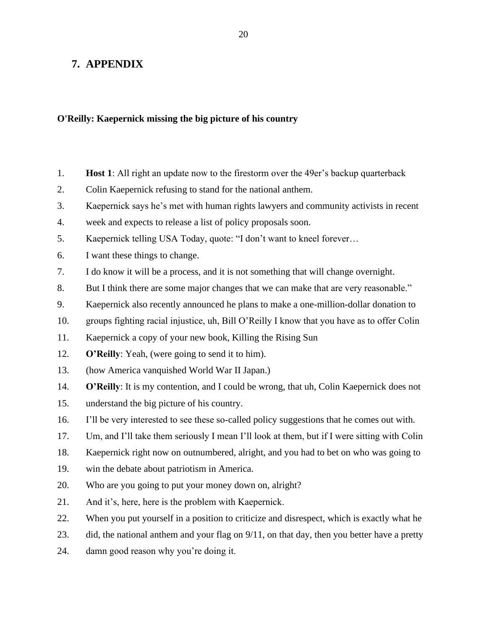## <span id="page-20-0"></span>**7. APPENDIX**

## **O'Reilly: Kaepernick missing the big picture of his country**

- 1. **Host 1**: All right an update now to the firestorm over the 49er's backup quarterback
- 2. Colin Kaepernick refusing to stand for the national anthem.
- 3. Kaepernick says he's met with human rights lawyers and community activists in recent
- 4. week and expects to release a list of policy proposals soon.
- 5. Kaepernick telling USA Today, quote: "I don't want to kneel forever…
- 6. I want these things to change.
- 7. I do know it will be a process, and it is not something that will change overnight.
- 8. But I think there are some major changes that we can make that are very reasonable."
- 9. Kaepernick also recently announced he plans to make a one-million-dollar donation to
- 10. groups fighting racial injustice, uh, Bill O'Reilly I know that you have as to offer Colin
- 11. Kaepernick a copy of your new book, Killing the Rising Sun
- 12. **O'Reilly**: Yeah, (were going to send it to him).
- 13. (how America vanquished World War II Japan.)
- 14. **O'Reilly**: It is my contention, and I could be wrong, that uh, Colin Kaepernick does not
- 15. understand the big picture of his country.
- 16. I'll be very interested to see these so-called policy suggestions that he comes out with.
- 17. Um, and I'll take them seriously I mean I'll look at them, but if I were sitting with Colin
- 18. Kaepernick right now on outnumbered, alright, and you had to bet on who was going to
- 19. win the debate about patriotism in America.
- 20. Who are you going to put your money down on, alright?
- 21. And it's, here, here is the problem with Kaepernick.
- 22. When you put yourself in a position to criticize and disrespect, which is exactly what he
- 23. did, the national anthem and your flag on 9/11, on that day, then you better have a pretty
- 24. damn good reason why you're doing it.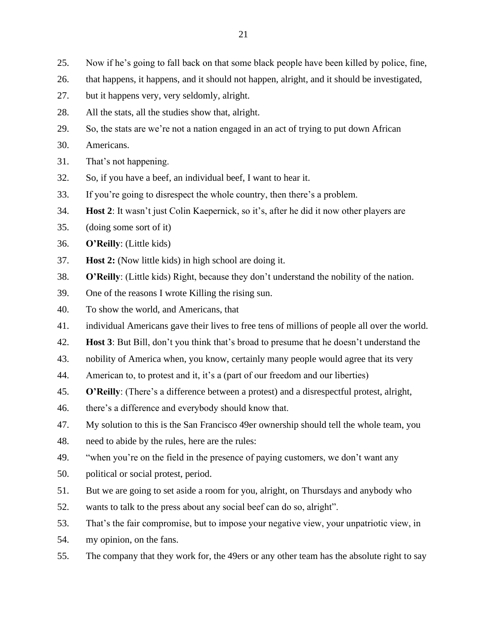- 25. Now if he's going to fall back on that some black people have been killed by police, fine,
- 26. that happens, it happens, and it should not happen, alright, and it should be investigated,
- 27. but it happens very, very seldomly, alright.
- 28. All the stats, all the studies show that, alright.
- 29. So, the stats are we're not a nation engaged in an act of trying to put down African
- 30. Americans.
- 31. That's not happening.
- 32. So, if you have a beef, an individual beef, I want to hear it.
- 33. If you're going to disrespect the whole country, then there's a problem.
- 34. **Host 2**: It wasn't just Colin Kaepernick, so it's, after he did it now other players are
- 35. (doing some sort of it)
- 36. **O'Reilly**: (Little kids)
- 37. **Host 2:** (Now little kids) in high school are doing it.
- 38. **O'Reilly**: (Little kids) Right, because they don't understand the nobility of the nation.
- 39. One of the reasons I wrote Killing the rising sun.
- 40. To show the world, and Americans, that
- 41. individual Americans gave their lives to free tens of millions of people all over the world.
- 42. **Host 3**: But Bill, don't you think that's broad to presume that he doesn't understand the
- 43. nobility of America when, you know, certainly many people would agree that its very
- 44. American to, to protest and it, it's a (part of our freedom and our liberties)
- 45. **O'Reilly**: (There's a difference between a protest) and a disrespectful protest, alright,
- 46. there's a difference and everybody should know that.
- 47. My solution to this is the San Francisco 49er ownership should tell the whole team, you
- 48. need to abide by the rules, here are the rules:
- 49. "when you're on the field in the presence of paying customers, we don't want any
- 50. political or social protest, period.
- 51. But we are going to set aside a room for you, alright, on Thursdays and anybody who
- 52. wants to talk to the press about any social beef can do so, alright".
- 53. That's the fair compromise, but to impose your negative view, your unpatriotic view, in
- 54. my opinion, on the fans.
- 55. The company that they work for, the 49ers or any other team has the absolute right to say